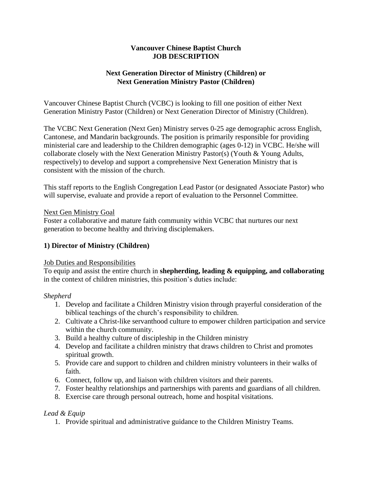### **Vancouver Chinese Baptist Church JOB DESCRIPTION**

# **Next Generation Director of Ministry (Children) or Next Generation Ministry Pastor (Children)**

Vancouver Chinese Baptist Church (VCBC) is looking to fill one position of either Next Generation Ministry Pastor (Children) or Next Generation Director of Ministry (Children).

The VCBC Next Generation (Next Gen) Ministry serves 0-25 age demographic across English, Cantonese, and Mandarin backgrounds. The position is primarily responsible for providing ministerial care and leadership to the Children demographic (ages 0-12) in VCBC. He/she will collaborate closely with the Next Generation Ministry Pastor(s) (Youth & Young Adults, respectively) to develop and support a comprehensive Next Generation Ministry that is consistent with the mission of the church.

This staff reports to the English Congregation Lead Pastor (or designated Associate Pastor) who will supervise, evaluate and provide a report of evaluation to the Personnel Committee.

#### Next Gen Ministry Goal

Foster a collaborative and mature faith community within VCBC that nurtures our next generation to become healthy and thriving disciplemakers.

# **1) Director of Ministry (Children)**

#### Job Duties and Responsibilities

To equip and assist the entire church in **shepherding, leading & equipping, and collaborating** in the context of children ministries, this position's duties include:

# *Shepherd*

- 1. Develop and facilitate a Children Ministry vision through prayerful consideration of the biblical teachings of the church's responsibility to children.
- 2. Cultivate a Christ-like servanthood culture to empower children participation and service within the church community.
- 3. Build a healthy culture of discipleship in the Children ministry
- 4. Develop and facilitate a children ministry that draws children to Christ and promotes spiritual growth.
- 5. Provide care and support to children and children ministry volunteers in their walks of faith.
- 6. Connect, follow up, and liaison with children visitors and their parents.
- 7. Foster healthy relationships and partnerships with parents and guardians of all children.
- 8. Exercise care through personal outreach, home and hospital visitations.

# *Lead & Equip*

1. Provide spiritual and administrative guidance to the Children Ministry Teams.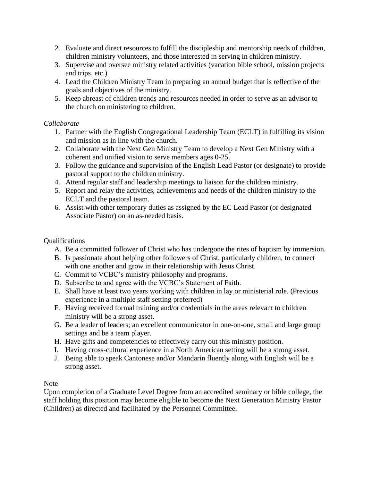- 2. Evaluate and direct resources to fulfill the discipleship and mentorship needs of children, children ministry volunteers, and those interested in serving in children ministry.
- 3. Supervise and oversee ministry related activities (vacation bible school, mission projects and trips, etc.)
- 4. Lead the Children Ministry Team in preparing an annual budget that is reflective of the goals and objectives of the ministry.
- 5. Keep abreast of children trends and resources needed in order to serve as an advisor to the church on ministering to children.

# *Collaborate*

- 1. Partner with the English Congregational Leadership Team (ECLT) in fulfilling its vision and mission as in line with the church.
- 2. Collaborate with the Next Gen Ministry Team to develop a Next Gen Ministry with a coherent and unified vision to serve members ages 0-25.
- 3. Follow the guidance and supervision of the English Lead Pastor (or designate) to provide pastoral support to the children ministry.
- 4. Attend regular staff and leadership meetings to liaison for the children ministry.
- 5. Report and relay the activities, achievements and needs of the children ministry to the ECLT and the pastoral team.
- 6. Assist with other temporary duties as assigned by the EC Lead Pastor (or designated Associate Pastor) on an as-needed basis.

# Qualifications

- A. Be a committed follower of Christ who has undergone the rites of baptism by immersion.
- B. Is passionate about helping other followers of Christ, particularly children, to connect with one another and grow in their relationship with Jesus Christ.
- C. Commit to VCBC's ministry philosophy and programs.
- D. Subscribe to and agree with the VCBC's Statement of Faith.
- E. Shall have at least two years working with children in lay or ministerial role. (Previous experience in a multiple staff setting preferred)
- F. Having received formal training and/or credentials in the areas relevant to children ministry will be a strong asset.
- G. Be a leader of leaders; an excellent communicator in one-on-one, small and large group settings and be a team player.
- H. Have gifts and competencies to effectively carry out this ministry position.
- I. Having cross-cultural experience in a North American setting will be a strong asset.
- J. Being able to speak Cantonese and/or Mandarin fluently along with English will be a strong asset.

# Note

Upon completion of a Graduate Level Degree from an accredited seminary or bible college, the staff holding this position may become eligible to become the Next Generation Ministry Pastor (Children) as directed and facilitated by the Personnel Committee.